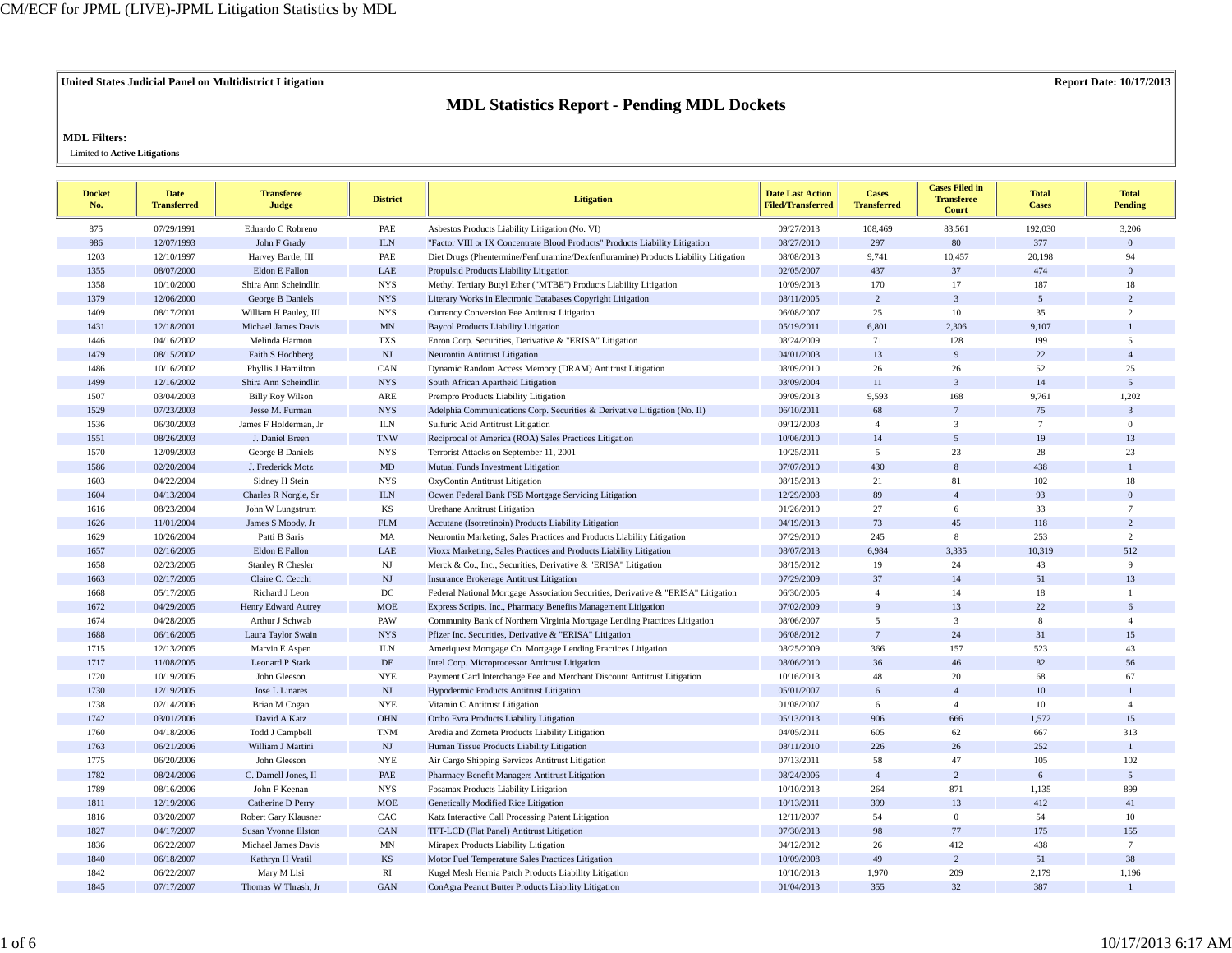## **United States Judicial Panel on Multidistrict Litigation Report Date: 10/17/2013**

## **MDL Statistics Report - Pending MDL Dockets**

## **MDL Filters:**

Limited to **Active Litigations**

| <b>Docket</b><br>No. | <b>Date</b><br><b>Transferred</b> | <b>Transferee</b><br>Judge  | <b>District</b>          | <b>Litigation</b>                                                                   | <b>Date Last Action</b><br><b>Filed/Transferred</b> | <b>Cases</b><br><b>Transferred</b> | <b>Cases Filed in</b><br><b>Transferee</b><br>Court | <b>Total</b><br><b>Cases</b> | <b>Total</b><br><b>Pending</b> |
|----------------------|-----------------------------------|-----------------------------|--------------------------|-------------------------------------------------------------------------------------|-----------------------------------------------------|------------------------------------|-----------------------------------------------------|------------------------------|--------------------------------|
| 875                  | 07/29/1991                        | Eduardo C Robreno           | PAE                      | Asbestos Products Liability Litigation (No. VI)                                     | 09/27/2013                                          | 108,469                            | 83,561                                              | 192,030                      | 3,206                          |
| 986                  | 12/07/1993                        | John F Grady                | ${\rm I\!L N}$           | "Factor VIII or IX Concentrate Blood Products" Products Liability Litigation        | 08/27/2010                                          | 297                                | 80                                                  | 377                          | $\mathbf{0}$                   |
| 1203                 | 12/10/1997                        | Harvey Bartle, III          | PAE                      | Diet Drugs (Phentermine/Fenfluramine/Dexfenfluramine) Products Liability Litigation | 08/08/2013                                          | 9,741                              | 10,457                                              | 20,198                       | 94                             |
| 1355                 | 08/07/2000                        | Eldon E Fallon              | LAE                      | Propulsid Products Liability Litigation                                             | 02/05/2007                                          | 437                                | 37                                                  | 474                          | $\overline{0}$                 |
| 1358                 | 10/10/2000                        | Shira Ann Scheindlin        | <b>NYS</b>               | Methyl Tertiary Butyl Ether ("MTBE") Products Liability Litigation                  | 10/09/2013                                          | 170                                | 17                                                  | 187                          | 18                             |
| 1379                 | 12/06/2000                        | George B Daniels            | <b>NYS</b>               | Literary Works in Electronic Databases Copyright Litigation                         | 08/11/2005                                          | $\overline{2}$                     | $\overline{\mathbf{3}}$                             | $\overline{5}$               | $\overline{c}$                 |
| 1409                 | 08/17/2001                        | William H Pauley, III       | <b>NYS</b>               | Currency Conversion Fee Antitrust Litigation                                        | 06/08/2007                                          | 25                                 | 10                                                  | 35                           | $\overline{c}$                 |
| 1431                 | 12/18/2001                        | <b>Michael James Davis</b>  | $\ensuremath{\text{MN}}$ | <b>Baycol Products Liability Litigation</b>                                         | 05/19/2011                                          | 6,801                              | 2,306                                               | 9,107                        | $\overline{1}$                 |
| 1446                 | 04/16/2002                        | Melinda Harmon              | <b>TXS</b>               | Enron Corp. Securities, Derivative & "ERISA" Litigation                             | 08/24/2009                                          | 71                                 | 128                                                 | 199                          | 5                              |
| 1479                 | 08/15/2002                        | Faith S Hochberg            | NJ                       | Neurontin Antitrust Litigation                                                      | 04/01/2003                                          | 13                                 | 9                                                   | 22                           | $\overline{4}$                 |
| 1486                 | 10/16/2002                        | Phyllis J Hamilton          | CAN                      | Dynamic Random Access Memory (DRAM) Antitrust Litigation                            | 08/09/2010                                          | 26                                 | 26                                                  | 52                           | 25                             |
| 1499                 | 12/16/2002                        | Shira Ann Scheindlin        | <b>NYS</b>               | South African Apartheid Litigation                                                  | 03/09/2004                                          | 11                                 | $\mathfrak{Z}$                                      | 14                           | $\overline{5}$                 |
| 1507                 | 03/04/2003                        | <b>Billy Roy Wilson</b>     | ARE                      | Prempro Products Liability Litigation                                               | 09/09/2013                                          | 9,593                              | 168                                                 | 9,761                        | 1,202                          |
| 1529                 | 07/23/2003                        | Jesse M. Furman             | <b>NYS</b>               | Adelphia Communications Corp. Securities & Derivative Litigation (No. II)           | 06/10/2011                                          | 68                                 | $\overline{7}$                                      | 75                           | $\mathfrak{Z}$                 |
| 1536                 | 06/30/2003                        | James F Holderman, Jr       | <b>ILN</b>               | Sulfuric Acid Antitrust Litigation                                                  | 09/12/2003                                          | $\overline{4}$                     | $\overline{3}$                                      | $7\phantom{.0}$              | $\boldsymbol{0}$               |
| 1551                 | 08/26/2003                        | J. Daniel Breen             | <b>TNW</b>               | Reciprocal of America (ROA) Sales Practices Litigation                              | 10/06/2010                                          | 14                                 | 5                                                   | 19                           | 13                             |
| 1570                 | 12/09/2003                        | George B Daniels            | <b>NYS</b>               | Terrorist Attacks on September 11, 2001                                             | 10/25/2011                                          | 5                                  | 23                                                  | 28                           | 23                             |
| 1586                 | 02/20/2004                        | J. Frederick Motz           | $\mbox{MD}$              | Mutual Funds Investment Litigation                                                  | 07/07/2010                                          | 430                                | 8                                                   | 438                          | $\mathbf{1}$                   |
| 1603                 | 04/22/2004                        | Sidney H Stein              | <b>NYS</b>               | OxyContin Antitrust Litigation                                                      | 08/15/2013                                          | 21                                 | 81                                                  | 102                          | 18                             |
| 1604                 | 04/13/2004                        | Charles R Norgle, Sr        | ${\rm I\!L N}$           | Ocwen Federal Bank FSB Mortgage Servicing Litigation                                | 12/29/2008                                          | 89                                 | $\overline{4}$                                      | 93                           | $\mathbf{0}$                   |
| 1616                 | 08/23/2004                        | John W Lungstrum            | KS                       | <b>Urethane Antitrust Litigation</b>                                                | 01/26/2010                                          | 27                                 | 6                                                   | 33                           | $\overline{7}$                 |
| 1626                 | 11/01/2004                        | James S Moody, Jr           | ${\rm FLM}$              | Accutane (Isotretinoin) Products Liability Litigation                               | 04/19/2013                                          | 73                                 | 45                                                  | 118                          | $\overline{c}$                 |
| 1629                 | 10/26/2004                        | Patti B Saris               | MA                       | Neurontin Marketing, Sales Practices and Products Liability Litigation              | 07/29/2010                                          | 245                                | 8                                                   | 253                          | $\overline{c}$                 |
| 1657                 | 02/16/2005                        | Eldon E Fallon              | LAE                      | Vioxx Marketing, Sales Practices and Products Liability Litigation                  | 08/07/2013                                          | 6,984                              | 3,335                                               | 10,319                       | 512                            |
| 1658                 | 02/23/2005                        | <b>Stanley R Chesler</b>    | $_{\rm NJ}$              | Merck & Co., Inc., Securities, Derivative & "ERISA" Litigation                      | 08/15/2012                                          | 19                                 | 24                                                  | 43                           | 9                              |
| 1663                 | 02/17/2005                        | Claire C. Cecchi            | $\mathbf{N}\mathbf{J}$   | <b>Insurance Brokerage Antitrust Litigation</b>                                     | 07/29/2009                                          | 37                                 | 14                                                  | 51                           | 13                             |
| 1668                 | 05/17/2005                        | Richard J Leon              | $_{\mathrm{DC}}$         | Federal National Mortgage Association Securities, Derivative & "ERISA" Litigation   | 06/30/2005                                          | $\overline{4}$                     | 14                                                  | 18                           | $\mathbf{1}$                   |
| 1672                 | 04/29/2005                        | Henry Edward Autrey         | $_{\rm MOE}$             | Express Scripts, Inc., Pharmacy Benefits Management Litigation                      | 07/02/2009                                          | 9                                  | 13                                                  | $22\,$                       | 6                              |
| 1674                 | 04/28/2005                        | Arthur J Schwab             | PAW                      | Community Bank of Northern Virginia Mortgage Lending Practices Litigation           | 08/06/2007                                          | 5                                  | $\mathbf{3}$                                        | $\bf 8$                      | $\overline{4}$                 |
| 1688                 | 06/16/2005                        | Laura Taylor Swain          | <b>NYS</b>               | Pfizer Inc. Securities, Derivative & "ERISA" Litigation                             | 06/08/2012                                          | $\overline{7}$                     | 24                                                  | 31                           | 15                             |
| 1715                 | 12/13/2005                        | Marvin E Aspen              | <b>ILN</b>               | Ameriquest Mortgage Co. Mortgage Lending Practices Litigation                       | 08/25/2009                                          | 366                                | 157                                                 | 523                          | 43                             |
| 1717                 | 11/08/2005                        | <b>Leonard P Stark</b>      | $\rm DE$                 | Intel Corp. Microprocessor Antitrust Litigation                                     | 08/06/2010                                          | 36                                 | 46                                                  | 82                           | 56                             |
| 1720                 | 10/19/2005                        | John Gleeson                | <b>NYE</b>               | Payment Card Interchange Fee and Merchant Discount Antitrust Litigation             | 10/16/2013                                          | 48                                 | 20                                                  | 68                           | 67                             |
| 1730                 | 12/19/2005                        | Jose L Linares              | $\mathbf{N}\mathbf{J}$   | Hypodermic Products Antitrust Litigation                                            | 05/01/2007                                          | 6                                  | $\overline{4}$                                      | 10                           | $\mathbf{1}$                   |
| 1738                 | 02/14/2006                        | Brian M Cogan               | <b>NYE</b>               | Vitamin C Antitrust Litigation                                                      | 01/08/2007                                          | 6                                  | $\overline{4}$                                      | 10                           | $\overline{4}$                 |
| 1742                 | 03/01/2006                        | David A Katz                | $\rm OHN$                | Ortho Evra Products Liability Litigation                                            | 05/13/2013                                          | 906                                | 666                                                 | 1,572                        | 15                             |
| 1760                 | 04/18/2006                        | Todd J Campbell             | <b>TNM</b>               | Aredia and Zometa Products Liability Litigation                                     | 04/05/2011                                          | 605                                | 62                                                  | 667                          | 313                            |
| 1763                 | 06/21/2006                        | William J Martini           | $\mathbf{N}\mathbf{J}$   | Human Tissue Products Liability Litigation                                          | 08/11/2010                                          | 226                                | $26\,$                                              | 252                          | $\mathbf{1}$                   |
| 1775                 | 06/20/2006                        | John Gleeson                | <b>NYE</b>               | Air Cargo Shipping Services Antitrust Litigation                                    | 07/13/2011                                          | 58                                 | 47                                                  | 105                          | 102                            |
| 1782                 | 08/24/2006                        | C. Darnell Jones, II        | PAE                      | Pharmacy Benefit Managers Antitrust Litigation                                      | 08/24/2006                                          | $\overline{4}$                     | $\overline{c}$                                      | $\sqrt{6}$                   | $\mathfrak{S}$                 |
| 1789                 | 08/16/2006                        | John F Keenan               | <b>NYS</b>               | Fosamax Products Liability Litigation                                               | 10/10/2013                                          | 264                                | 871                                                 | 1,135                        | 899                            |
| 1811                 | 12/19/2006                        | Catherine D Perry           | $_{\rm MOE}$             | Genetically Modified Rice Litigation                                                | 10/13/2011                                          | 399                                | 13                                                  | 412                          | 41                             |
| 1816                 | 03/20/2007                        | Robert Gary Klausner        | CAC                      | Katz Interactive Call Processing Patent Litigation                                  | 12/11/2007                                          | 54                                 | $\mathbf{0}$                                        | 54                           | 10                             |
| 1827                 | 04/17/2007                        | <b>Susan Yvonne Illston</b> | CAN                      | TFT-LCD (Flat Panel) Antitrust Litigation                                           | 07/30/2013                                          | 98                                 | 77                                                  | 175                          | 155                            |
| 1836                 | 06/22/2007                        | <b>Michael James Davis</b>  | MN                       | Mirapex Products Liability Litigation                                               | 04/12/2012                                          | 26                                 | 412                                                 | 438                          | $7\phantom{.0}$                |
| 1840                 | 06/18/2007                        | Kathryn H Vratil            | <b>KS</b>                | Motor Fuel Temperature Sales Practices Litigation                                   | 10/09/2008                                          | 49                                 | $\overline{c}$                                      | 51                           | 38                             |
| 1842                 | 06/22/2007                        | Mary M Lisi                 | RI                       | Kugel Mesh Hernia Patch Products Liability Litigation                               | 10/10/2013                                          | 1,970                              | 209                                                 | 2,179                        | 1,196                          |
| 1845                 | 07/17/2007                        | Thomas W Thrash, Jr         | <b>GAN</b>               | ConAgra Peanut Butter Products Liability Litigation                                 | 01/04/2013                                          | 355                                | 32                                                  | 387                          |                                |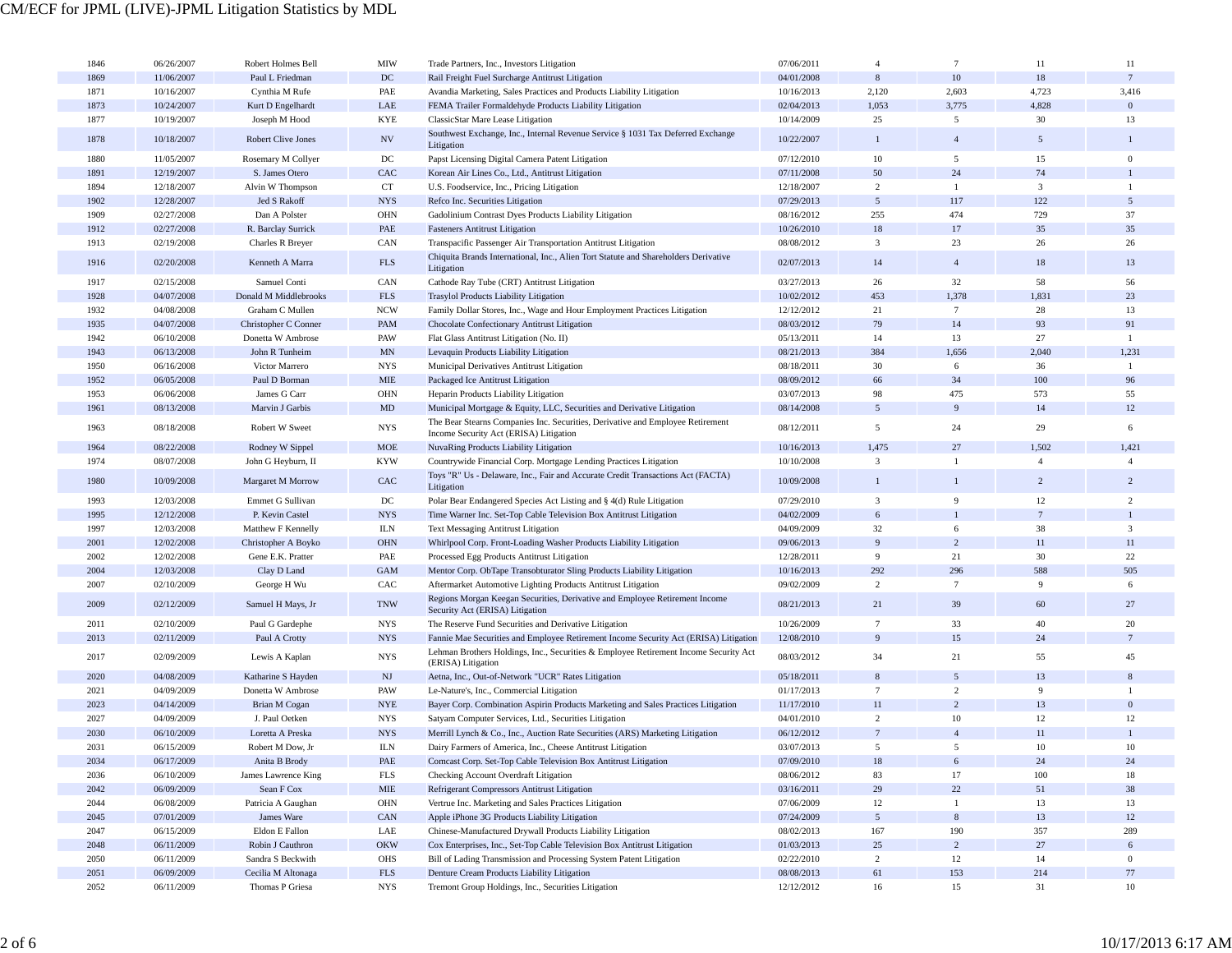| 1846 | 06/26/2007 | Robert Holmes Bell        | MIW                         | Trade Partners, Inc., Investors Litigation                                                                 | 07/06/2011 | $\overline{4}$  | $\tau$          | 11                      | 11               |
|------|------------|---------------------------|-----------------------------|------------------------------------------------------------------------------------------------------------|------------|-----------------|-----------------|-------------------------|------------------|
| 1869 | 11/06/2007 | Paul L Friedman           | DC                          | Rail Freight Fuel Surcharge Antitrust Litigation                                                           | 04/01/2008 | $\,$ 8 $\,$     | 10              | $18\,$                  | $7\phantom{.0}$  |
| 1871 | 10/16/2007 | Cynthia M Rufe            | PAE                         | Avandia Marketing, Sales Practices and Products Liability Litigation                                       | 10/16/2013 | 2,120           | 2,603           | 4,723                   | 3,416            |
| 1873 | 10/24/2007 |                           | LAE                         |                                                                                                            | 02/04/2013 | 1,053           | 3,775           | 4,828                   | $\Omega$         |
|      |            | Kurt D Engelhardt         |                             | FEMA Trailer Formaldehyde Products Liability Litigation                                                    |            | 25              |                 | 30                      | 13               |
| 1877 | 10/19/2007 | Joseph M Hood             | <b>KYE</b>                  | ClassicStar Mare Lease Litigation                                                                          | 10/14/2009 |                 | 5               |                         |                  |
| 1878 | 10/18/2007 | <b>Robert Clive Jones</b> | $\ensuremath{\text{NV}}$    | Southwest Exchange, Inc., Internal Revenue Service § 1031 Tax Deferred Exchange<br>Litigation              | 10/22/2007 | $\mathbf{1}$    | $\overline{4}$  | $\overline{5}$          |                  |
| 1880 | 11/05/2007 | Rosemary M Collyer        | DC                          | Papst Licensing Digital Camera Patent Litigation                                                           | 07/12/2010 | $10\,$          | 5               | 15                      | $\mathbf{0}$     |
| 1891 | 12/19/2007 | S. James Otero            | CAC                         | Korean Air Lines Co., Ltd., Antitrust Litigation                                                           | 07/11/2008 | 50              | 24              | 74                      |                  |
| 1894 | 12/18/2007 | Alvin W Thompson          | <b>CT</b>                   | U.S. Foodservice, Inc., Pricing Litigation                                                                 | 12/18/2007 | $\overline{c}$  | $\mathbf{1}$    | $\overline{\mathbf{3}}$ | $\mathbf{1}$     |
| 1902 | 12/28/2007 | Jed S Rakoff              | <b>NYS</b>                  | Refco Inc. Securities Litigation                                                                           | 07/29/2013 | $5\overline{ }$ | 117             | 122                     | 5                |
| 1909 | 02/27/2008 | Dan A Polster             | <b>OHN</b>                  | Gadolinium Contrast Dyes Products Liability Litigation                                                     | 08/16/2012 | 255             | 474             | 729                     | 37               |
| 1912 | 02/27/2008 | R. Barclay Surrick        | PAE                         | <b>Fasteners Antitrust Litigation</b>                                                                      | 10/26/2010 | 18              | $17\,$          | 35                      | 35               |
| 1913 | 02/19/2008 | Charles R Breyer          | CAN                         | Transpacific Passenger Air Transportation Antitrust Litigation                                             | 08/08/2012 | $\mathfrak{Z}$  | 23              | 26                      | 26               |
|      |            |                           |                             | Chiquita Brands International, Inc., Alien Tort Statute and Shareholders Derivative                        |            |                 |                 |                         |                  |
| 1916 | 02/20/2008 | Kenneth A Marra           | <b>FLS</b>                  | Litigation                                                                                                 | 02/07/2013 | 14              | $\overline{4}$  | 18                      | 13               |
| 1917 | 02/15/2008 | Samuel Conti              | CAN                         | Cathode Ray Tube (CRT) Antitrust Litigation                                                                | 03/27/2013 | 26              | 32              | 58                      | 56               |
| 1928 | 04/07/2008 | Donald M Middlebrooks     | $_{\rm FLS}$                | Trasylol Products Liability Litigation                                                                     | 10/02/2012 | 453             | 1,378           | 1,831                   | 23               |
| 1932 | 04/08/2008 | Graham C Mullen           | <b>NCW</b>                  | Family Dollar Stores, Inc., Wage and Hour Employment Practices Litigation                                  | 12/12/2012 | 21              | $7\phantom{.0}$ | 28                      | 13               |
| 1935 | 04/07/2008 | Christopher C Conner      | PAM                         | Chocolate Confectionary Antitrust Litigation                                                               | 08/03/2012 | 79              | 14              | 93                      | 91               |
| 1942 | 06/10/2008 | Donetta W Ambrose         | PAW                         | Flat Glass Antitrust Litigation (No. II)                                                                   | 05/13/2011 | 14              | 13              | 27                      | -1               |
| 1943 | 06/13/2008 | John R Tunheim            | $\mbox{MN}$                 | Levaquin Products Liability Litigation                                                                     | 08/21/2013 | 384             | 1,656           | 2,040                   | 1,231            |
| 1950 | 06/16/2008 | Victor Marrero            | <b>NYS</b>                  | Municipal Derivatives Antitrust Litigation                                                                 | 08/18/2011 | 30              | 6               | 36                      | $\overline{1}$   |
| 1952 | 06/05/2008 | Paul D Borman             | <b>MIE</b>                  | Packaged Ice Antitrust Litigation                                                                          | 08/09/2012 | 66              | 34              | 100                     | 96               |
| 1953 | 06/06/2008 | James G Carr              | <b>OHN</b>                  | Heparin Products Liability Litigation                                                                      | 03/07/2013 | 98              | 475             | 573                     | 55               |
| 1961 | 08/13/2008 | Marvin J Garbis           | MD                          | Municipal Mortgage & Equity, LLC, Securities and Derivative Litigation                                     | 08/14/2008 | $5\overline{ }$ | 9               | 14                      | 12               |
| 1963 | 08/18/2008 | Robert W Sweet            | <b>NYS</b>                  | The Bear Stearns Companies Inc. Securities, Derivative and Employee Retirement                             | 08/12/2011 | 5               | 24              | 29                      | 6                |
|      |            |                           |                             | Income Security Act (ERISA) Litigation                                                                     |            |                 |                 |                         |                  |
| 1964 | 08/22/2008 | Rodney W Sippel           | <b>MOE</b>                  | NuvaRing Products Liability Litigation                                                                     | 10/16/2013 | 1,475           | 27              | 1,502                   | 1,421            |
| 1974 | 08/07/2008 | John G Heyburn, II        | <b>KYW</b>                  | Countrywide Financial Corp. Mortgage Lending Practices Litigation                                          | 10/10/2008 | 3               | -1              | $\overline{4}$          | $\overline{4}$   |
| 1980 | 10/09/2008 | Margaret M Morrow         | ${\rm CAC}$                 | Toys "R" Us - Delaware, Inc., Fair and Accurate Credit Transactions Act (FACTA)<br>Litigation              | 10/09/2008 | $\mathbf{1}$    | $\mathbf{1}$    | $\overline{2}$          | $\overline{2}$   |
| 1993 | 12/03/2008 | Emmet G Sullivan          | $_{\mathrm{DC}}$            | Polar Bear Endangered Species Act Listing and § 4(d) Rule Litigation                                       | 07/29/2010 | 3               | 9               | 12                      | 2                |
| 1995 | 12/12/2008 | P. Kevin Castel           | <b>NYS</b>                  | Time Warner Inc. Set-Top Cable Television Box Antitrust Litigation                                         | 04/02/2009 | 6               | $\mathbf{1}$    |                         |                  |
| 1997 | 12/03/2008 | Matthew F Kennelly        | <b>ILN</b>                  | <b>Text Messaging Antitrust Litigation</b>                                                                 | 04/09/2009 | 32              | 6               | 38                      | $\mathfrak{Z}$   |
| 2001 | 12/02/2008 | Christopher A Boyko       | OHN                         | Whirlpool Corp. Front-Loading Washer Products Liability Litigation                                         | 09/06/2013 | 9               | 2               | 11                      | 11               |
| 2002 | 12/02/2008 | Gene E.K. Pratter         | PAE                         | Processed Egg Products Antitrust Litigation                                                                | 12/28/2011 | 9               | 21              | 30                      | 22               |
| 2004 | 12/03/2008 | Clay D Land               | <b>GAM</b>                  | Mentor Corp. ObTape Transobturator Sling Products Liability Litigation                                     | 10/16/2013 | 292             | 296             | 588                     | 505              |
| 2007 | 02/10/2009 | George H Wu               | CAC                         | Aftermarket Automotive Lighting Products Antitrust Litigation                                              | 09/02/2009 | $\overline{c}$  | $7\phantom{.0}$ | 9                       | 6                |
| 2009 | 02/12/2009 | Samuel H Mays, Jr         | <b>TNW</b>                  | Regions Morgan Keegan Securities, Derivative and Employee Retirement Income                                | 08/21/2013 | 21              | 39              | 60                      | 27               |
|      |            |                           |                             | Security Act (ERISA) Litigation                                                                            |            | $7\overline{ }$ |                 |                         |                  |
| 2011 | 02/10/2009 | Paul G Gardephe           | <b>NYS</b>                  | The Reserve Fund Securities and Derivative Litigation                                                      | 10/26/2009 |                 | 33              | 40                      | 20               |
| 2013 | 02/11/2009 | Paul A Crotty             | <b>NYS</b>                  | Fannie Mae Securities and Employee Retirement Income Security Act (ERISA) Litigation                       | 12/08/2010 | 9               | 15              | 24                      | $7\phantom{.0}$  |
| 2017 | 02/09/2009 | Lewis A Kaplan            | <b>NYS</b>                  | Lehman Brothers Holdings, Inc., Securities & Employee Retirement Income Security Act<br>(ERISA) Litigation | 08/03/2012 | 34              | 21              | 55                      | 45               |
| 2020 | 04/08/2009 | Katharine S Hayden        | NJ                          | Aetna, Inc., Out-of-Network "UCR" Rates Litigation                                                         | 05/18/2011 | 8               | $\overline{5}$  | 13                      | 8                |
| 2021 | 04/09/2009 | Donetta W Ambrose         | PAW                         | Le-Nature's, Inc., Commercial Litigation                                                                   | 01/17/2013 | $7\phantom{.0}$ | $\overline{c}$  | 9                       |                  |
| 2023 | 04/14/2009 | Brian M Cogan             | <b>NYE</b>                  | Bayer Corp. Combination Aspirin Products Marketing and Sales Practices Litigation                          | 11/17/2010 | $11\,$          | 2               | 13                      | $\mathbf{0}$     |
| 2027 | 04/09/2009 | J. Paul Oetken            | <b>NYS</b>                  | Satyam Computer Services, Ltd., Securities Litigation                                                      | 04/01/2010 | $\overline{c}$  | 10              | 12                      | 12               |
| 2030 | 06/10/2009 | Loretta A Preska          | <b>NYS</b>                  | Merrill Lynch & Co., Inc., Auction Rate Securities (ARS) Marketing Litigation                              | 06/12/2012 | $\overline{7}$  | $\overline{4}$  | 11                      |                  |
| 2031 | 06/15/2009 | Robert M Dow, Jr          | <b>ILN</b>                  | Dairy Farmers of America, Inc., Cheese Antitrust Litigation                                                | 03/07/2013 | 5               | 5               | 10                      | 10               |
| 2034 | 06/17/2009 | Anita B Brody             | $\ensuremath{\mathsf{PAE}}$ | Comcast Corp. Set-Top Cable Television Box Antitrust Litigation                                            | 07/09/2010 | $18\,$          | 6               | 24                      | 24               |
| 2036 | 06/10/2009 | James Lawrence King       | <b>FLS</b>                  | Checking Account Overdraft Litigation                                                                      | 08/06/2012 | 83              | 17              | 100                     | 18               |
| 2042 | 06/09/2009 | Sean F Cox                | MIE                         | Refrigerant Compressors Antitrust Litigation                                                               | 03/16/2011 | 29              | 22              | 51                      | 38               |
| 2044 | 06/08/2009 | Patricia A Gaughan        | OHN                         | Vertrue Inc. Marketing and Sales Practices Litigation                                                      | 07/06/2009 | 12              | $\mathbf{1}$    | 13                      | 13               |
| 2045 | 07/01/2009 | James Ware                | ${\rm CAN}$                 | Apple iPhone 3G Products Liability Litigation                                                              | 07/24/2009 | 5 <sup>5</sup>  | $\,$ 8 $\,$     | 13                      | 12               |
| 2047 | 06/15/2009 | Eldon E Fallon            | LAE                         | Chinese-Manufactured Drywall Products Liability Litigation                                                 | 08/02/2013 | 167             | 190             | 357                     | 289              |
| 2048 | 06/11/2009 | Robin J Cauthron          | <b>OKW</b>                  | Cox Enterprises, Inc., Set-Top Cable Television Box Antitrust Litigation                                   | 01/03/2013 | 25              | $\overline{c}$  | 27                      | 6                |
| 2050 | 06/11/2009 | Sandra S Beckwith         | OHS                         | Bill of Lading Transmission and Processing System Patent Litigation                                        | 02/22/2010 | $\overline{2}$  | 12              | 14                      | $\boldsymbol{0}$ |
| 2051 | 06/09/2009 | Cecilia M Altonaga        | $\ensuremath{\text{FLS}}$   | Denture Cream Products Liability Litigation                                                                | 08/08/2013 | 61              | 153             | 214                     | 77               |
| 2052 | 06/11/2009 | Thomas P Griesa           | <b>NYS</b>                  | Tremont Group Holdings, Inc., Securities Litigation                                                        | 12/12/2012 | 16              | 15              | 31                      | 10               |
|      |            |                           |                             |                                                                                                            |            |                 |                 |                         |                  |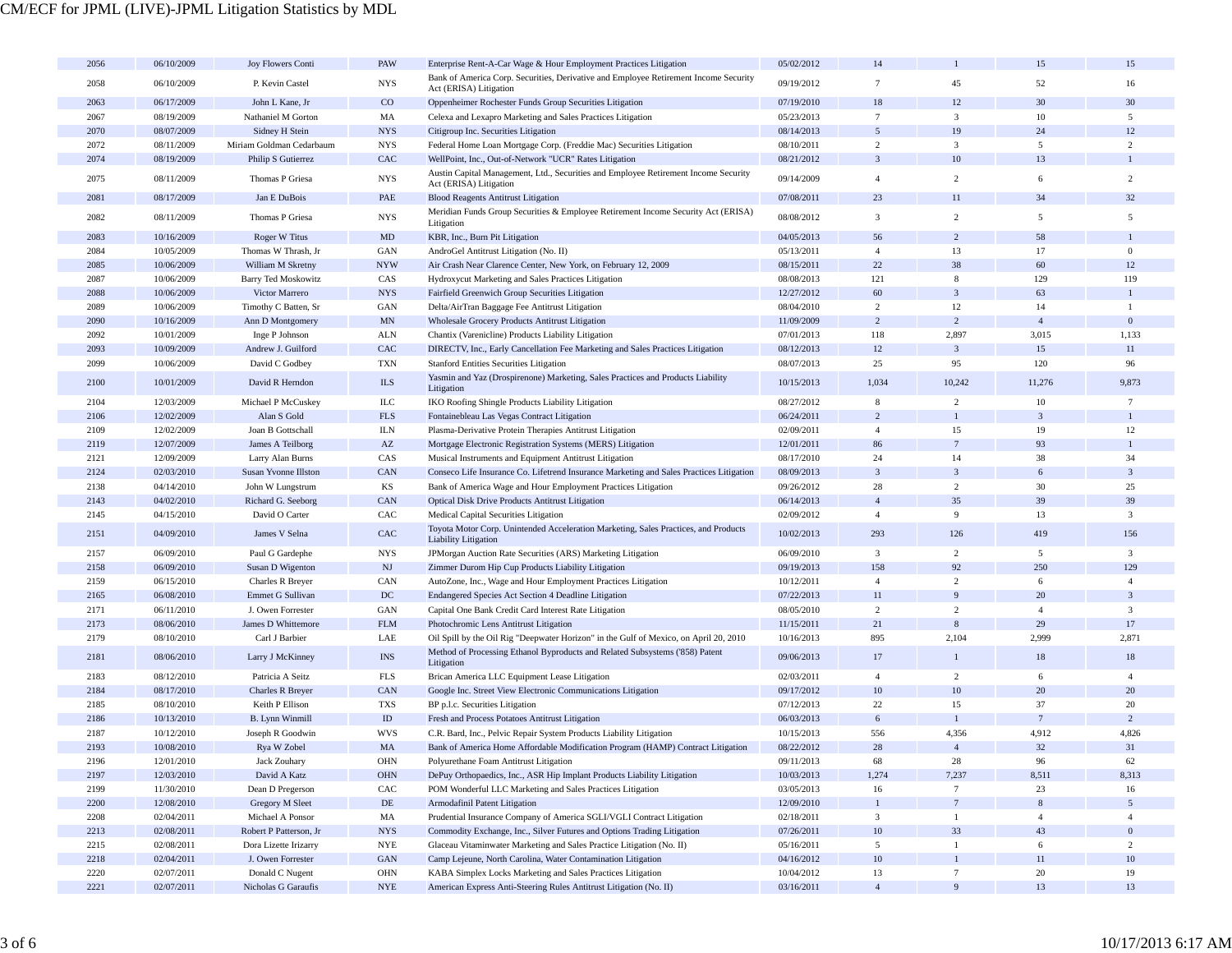| 2056 | 06/10/2009 | Joy Flowers Conti          | PAW                       | Enterprise Rent-A-Car Wage & Hour Employment Practices Litigation                                                  | 05/02/2012 | 14                 |                         | 15             | 15                      |
|------|------------|----------------------------|---------------------------|--------------------------------------------------------------------------------------------------------------------|------------|--------------------|-------------------------|----------------|-------------------------|
| 2058 | 06/10/2009 | P. Kevin Castel            | <b>NYS</b>                | Bank of America Corp. Securities, Derivative and Employee Retirement Income Security                               | 09/19/2012 | $7\phantom{.0}$    | 45                      | 52             | 16                      |
|      |            |                            |                           | Act (ERISA) Litigation                                                                                             |            |                    |                         |                |                         |
| 2063 | 06/17/2009 | John L Kane, Jr            | $_{\rm CO}$               | Oppenheimer Rochester Funds Group Securities Litigation                                                            | 07/19/2010 | 18                 | 12                      | 30             | 30                      |
| 2067 | 08/19/2009 | Nathaniel M Gorton         | MA                        | Celexa and Lexapro Marketing and Sales Practices Litigation                                                        | 05/23/2013 | $7\phantom{.0}$    | $\overline{\mathbf{3}}$ | 10             | $5\overline{5}$         |
| 2070 | 08/07/2009 | Sidney H Stein             | <b>NYS</b>                | Citigroup Inc. Securities Litigation                                                                               | 08/14/2013 | 5                  | 19                      | 24             | 12                      |
| 2072 | 08/11/2009 | Miriam Goldman Cedarbaum   | <b>NYS</b>                | Federal Home Loan Mortgage Corp. (Freddie Mac) Securities Litigation                                               | 08/10/2011 | $\overline{c}$     | $\mathbf{3}$            | 5              | $\overline{2}$          |
| 2074 | 08/19/2009 | Philip S Gutierrez         | CAC                       | WellPoint, Inc., Out-of-Network "UCR" Rates Litigation                                                             | 08/21/2012 | $\overline{3}$     | 10                      | 13             |                         |
| 2075 | 08/11/2009 | Thomas P Griesa            | <b>NYS</b>                | Austin Capital Management, Ltd., Securities and Employee Retirement Income Security                                | 09/14/2009 | $\overline{4}$     | $\overline{c}$          | 6              | $\overline{2}$          |
|      |            |                            |                           | Act (ERISA) Litigation                                                                                             |            |                    |                         |                |                         |
| 2081 | 08/17/2009 | Jan E DuBois               | PAE                       | <b>Blood Reagents Antitrust Litigation</b>                                                                         | 07/08/2011 | 23                 | 11                      | 34             | 32                      |
| 2082 | 08/11/2009 | Thomas P Griesa            | <b>NYS</b>                | Meridian Funds Group Securities & Employee Retirement Income Security Act (ERISA)                                  | 08/08/2012 | $\overline{3}$     | 2                       | 5              | 5                       |
|      |            |                            |                           | Litigation                                                                                                         |            |                    |                         |                |                         |
| 2083 | 10/16/2009 | Roger W Titus              | MD                        | KBR, Inc., Burn Pit Litigation                                                                                     | 04/05/2013 | 56                 | $\overline{2}$          | 58             | $\overline{1}$          |
| 2084 | 10/05/2009 | Thomas W Thrash, Jr        | GAN                       | AndroGel Antitrust Litigation (No. II)                                                                             | 05/13/2011 | $\overline{4}$     | 13                      | 17             | $\mathbf{0}$            |
| 2085 | 10/06/2009 | William M Skretny          | <b>NYW</b>                | Air Crash Near Clarence Center, New York, on February 12, 2009                                                     | 08/15/2011 | 22                 | 38                      | 60             | 12                      |
| 2087 | 10/06/2009 | <b>Barry Ted Moskowitz</b> | CAS                       | Hydroxycut Marketing and Sales Practices Litigation                                                                | 08/08/2013 | 121                | $\,$ 8 $\,$             | 129            | 119                     |
| 2088 | 10/06/2009 | Victor Marrero             | <b>NYS</b>                | Fairfield Greenwich Group Securities Litigation                                                                    | 12/27/2012 | 60                 | $\mathbf{3}$            | 63             | $\overline{1}$          |
| 2089 | 10/06/2009 | Timothy C Batten, Sr       | GAN                       | Delta/AirTran Baggage Fee Antitrust Litigation                                                                     | 08/04/2010 | $\overline{c}$     | 12                      | 14             | $\overline{1}$          |
| 2090 | 10/16/2009 | Ann D Montgomery           | <b>MN</b>                 | Wholesale Grocery Products Antitrust Litigation                                                                    | 11/09/2009 | $\overline{c}$     | $\overline{c}$          | $\overline{4}$ | $\mathbf{0}$            |
| 2092 | 10/01/2009 | Inge P Johnson             | ALN                       | Chantix (Varenicline) Products Liability Litigation                                                                | 07/01/2013 | 118                | 2,897                   | 3,015          | 1,133                   |
| 2093 | 10/09/2009 | Andrew J. Guilford         | CAC                       | DIRECTV, Inc., Early Cancellation Fee Marketing and Sales Practices Litigation                                     | 08/12/2013 | 12                 | $\mathbf{3}$            | 15             | 11                      |
| 2099 | 10/06/2009 | David C Godbey             | <b>TXN</b>                | <b>Stanford Entities Securities Litigation</b>                                                                     | 08/07/2013 | 25                 | 95                      | 120            | 96                      |
|      |            |                            |                           | Yasmin and Yaz (Drospirenone) Marketing, Sales Practices and Products Liability                                    |            |                    |                         |                |                         |
| 2100 | 10/01/2009 | David R Herndon            | $\rm ILS$                 | Litigation                                                                                                         | 10/15/2013 | 1,034              | 10,242                  | 11,276         | 9,873                   |
| 2104 | 12/03/2009 | Michael P McCuskey         | ILC                       | IKO Roofing Shingle Products Liability Litigation                                                                  | 08/27/2012 | 8                  | $\overline{2}$          | 10             | $7\phantom{.0}$         |
| 2106 | 12/02/2009 | Alan S Gold                | $_{\rm FLS}$              | Fontainebleau Las Vegas Contract Litigation                                                                        | 06/24/2011 | $\overline{c}$     | $\mathbf{1}$            | $\overline{3}$ |                         |
| 2109 | 12/02/2009 | Joan B Gottschall          | <b>ILN</b>                | Plasma-Derivative Protein Therapies Antitrust Litigation                                                           | 02/09/2011 | $\overline{4}$     | 15                      | 19             | 12                      |
| 2119 | 12/07/2009 | James A Teilborg           | $\mathbf{A}\mathbf{Z}$    | Mortgage Electronic Registration Systems (MERS) Litigation                                                         | 12/01/2011 | 86                 | $\overline{7}$          | 93             |                         |
| 2121 | 12/09/2009 | Larry Alan Burns           | CAS                       | Musical Instruments and Equipment Antitrust Litigation                                                             | 08/17/2010 | 24                 | 14                      | 38             | 34                      |
| 2124 | 02/03/2010 | Susan Yvonne Illston       | CAN                       | Conseco Life Insurance Co. Lifetrend Insurance Marketing and Sales Practices Litigation                            | 08/09/2013 | $\overline{3}$     | $\mathbf{3}$            | 6              | $\overline{\mathbf{3}}$ |
| 2138 | 04/14/2010 |                            |                           |                                                                                                                    | 09/26/2012 | 28                 | $\overline{2}$          | 30             | 25                      |
| 2143 |            | John W Lungstrum           | KS                        | Bank of America Wage and Hour Employment Practices Litigation                                                      |            | $\overline{4}$     | 35                      |                |                         |
|      | 04/02/2010 | Richard G. Seeborg         | CAN                       | Optical Disk Drive Products Antitrust Litigation                                                                   | 06/14/2013 |                    |                         | 39             | 39                      |
| 2145 | 04/15/2010 | David O Carter             | CAC                       | Medical Capital Securities Litigation                                                                              | 02/09/2012 | $\overline{4}$     | 9                       | 13             | $\overline{3}$          |
| 2151 | 04/09/2010 | James V Selna              | CAC                       | Toyota Motor Corp. Unintended Acceleration Marketing, Sales Practices, and Products<br><b>Liability Litigation</b> | 10/02/2013 | 293                | 126                     | 419            | 156                     |
| 2157 | 06/09/2010 | Paul G Gardephe            | <b>NYS</b>                | JPMorgan Auction Rate Securities (ARS) Marketing Litigation                                                        | 06/09/2010 | $\mathfrak{Z}$     | 2                       | 5              | $\overline{\mathbf{3}}$ |
| 2158 | 06/09/2010 | Susan D Wigenton           | $\mathbf{N}\mathbf{J}$    | Zimmer Durom Hip Cup Products Liability Litigation                                                                 | 09/19/2013 | 158                | 92                      | 250            | 129                     |
| 2159 | 06/15/2010 | Charles R Breyer           | CAN                       | AutoZone, Inc., Wage and Hour Employment Practices Litigation                                                      | 10/12/2011 | $\overline{4}$     | $\overline{2}$          | 6              | $\overline{4}$          |
| 2165 | 06/08/2010 | Emmet G Sullivan           | $_{\mathrm{DC}}$          | Endangered Species Act Section 4 Deadline Litigation                                                               | 07/22/2013 | 11                 | 9                       | 20             | 3                       |
| 2171 | 06/11/2010 | J. Owen Forrester          | GAN                       | Capital One Bank Credit Card Interest Rate Litigation                                                              | 08/05/2010 | $\overline{2}$     | $\overline{c}$          | $\overline{4}$ | 3                       |
| 2173 | 08/06/2010 | James D Whittemore         | <b>FLM</b>                | Photochromic Lens Antitrust Litigation                                                                             | 11/15/2011 | 21                 | $\boldsymbol{8}$        | 29             | 17                      |
| 2179 | 08/10/2010 | Carl J Barbier             | LAE                       | Oil Spill by the Oil Rig "Deepwater Horizon" in the Gulf of Mexico, on April 20, 2010                              | 10/16/2013 | 895                | 2,104                   | 2,999          | 2,871                   |
|      |            |                            |                           | Method of Processing Ethanol Byproducts and Related Subsystems ('858) Patent                                       |            |                    |                         |                |                         |
| 2181 | 08/06/2010 | Larry J McKinney           | <b>INS</b>                | Litigation                                                                                                         | 09/06/2013 | 17                 | $\mathbf{1}$            | 18             | 18                      |
| 2183 | 08/12/2010 | Patricia A Seitz           | $_{\rm FLS}$              | Brican America LLC Equipment Lease Litigation                                                                      | 02/03/2011 | $\overline{4}$     | $\overline{2}$          | 6              | $\overline{4}$          |
| 2184 | 08/17/2010 | Charles R Breyer           | CAN                       | Google Inc. Street View Electronic Communications Litigation                                                       | 09/17/2012 | $10\,$             | 10                      | 20             | 20                      |
| 2185 | 08/10/2010 | Keith P Ellison            | <b>TXS</b>                | BP p.l.c. Securities Litigation                                                                                    | 07/12/2013 | 22                 | 15                      | 37             | 20                      |
| 2186 | 10/13/2010 | <b>B.</b> Lynn Winmill     | $\rm ID$                  | Fresh and Process Potatoes Antitrust Litigation                                                                    | 06/03/2013 | 6                  | $\mathbf{1}$            | $\overline{7}$ | $\overline{2}$          |
| 2187 | 10/12/2010 | Joseph R Goodwin           | <b>WVS</b>                | C.R. Bard, Inc., Pelvic Repair System Products Liability Litigation                                                | 10/15/2013 | 556                | 4,356                   | 4,912          | 4,826                   |
| 2193 | 10/08/2010 | Rya W Zobel                | MA                        | Bank of America Home Affordable Modification Program (HAMP) Contract Litigation                                    | 08/22/2012 | 28                 | $\overline{4}$          | 32             | 31                      |
| 2196 | 12/01/2010 | Jack Zouhary               | $\rm OHN$                 | Polyurethane Foam Antitrust Litigation                                                                             | 09/11/2013 | 68                 | 28                      | 96             | 62                      |
| 2197 | 12/03/2010 | David A Katz               | $\rm OHN$                 | DePuy Orthopaedics, Inc., ASR Hip Implant Products Liability Litigation                                            | 10/03/2013 | 1,274              | 7,237                   | 8,511          | 8,313                   |
|      | 11/30/2010 | Dean D Pregerson           |                           |                                                                                                                    |            |                    | $7\phantom{.0}$         | 23             |                         |
| 2199 |            |                            | CAC                       | POM Wonderful LLC Marketing and Sales Practices Litigation                                                         | 03/05/2013 | 16<br>$\mathbf{1}$ | $7\phantom{.0}$         | $\,$ 8 $\,$    | 16                      |
| 2200 | 12/08/2010 | Gregory M Sleet            | $\rm DE$                  | Armodafinil Patent Litigation                                                                                      | 12/09/2010 |                    |                         |                | $\overline{5}$          |
| 2208 | 02/04/2011 | Michael A Ponsor           | MA                        | Prudential Insurance Company of America SGLI/VGLI Contract Litigation                                              | 02/18/2011 | $\mathbf{3}$       | $\mathbf{1}$            | $\overline{4}$ | $\overline{4}$          |
| 2213 | 02/08/2011 | Robert P Patterson, Jr     | $_{\mathrm{NYS}}$         | Commodity Exchange, Inc., Silver Futures and Options Trading Litigation                                            | 07/26/2011 | $10\,$             | $33\,$                  | 43             | $\mathbf{0}$            |
| 2215 | 02/08/2011 | Dora Lizette Irizarry      | $\ensuremath{\text{NYE}}$ | Glaceau Vitaminwater Marketing and Sales Practice Litigation (No. II)                                              | 05/16/2011 | 5 <sup>5</sup>     | $\mathbf{1}$            | 6              | $\overline{c}$          |
| 2218 | 02/04/2011 | J. Owen Forrester          | $\operatorname{GAN}$      | Camp Lejeune, North Carolina, Water Contamination Litigation                                                       | 04/16/2012 | 10 <sup>°</sup>    | $\mathbf{1}$            | 11             | 10                      |
| 2220 | 02/07/2011 | Donald C Nugent            | OHN                       | KABA Simplex Locks Marketing and Sales Practices Litigation                                                        | 10/04/2012 | 13                 | $7\phantom{.0}$         | 20             | 19                      |
| 2221 | 02/07/2011 | Nicholas G Garaufis        | <b>NYE</b>                | American Express Anti-Steering Rules Antitrust Litigation (No. II)                                                 | 03/16/2011 | $\overline{4}$     | 9                       | 13             | 13                      |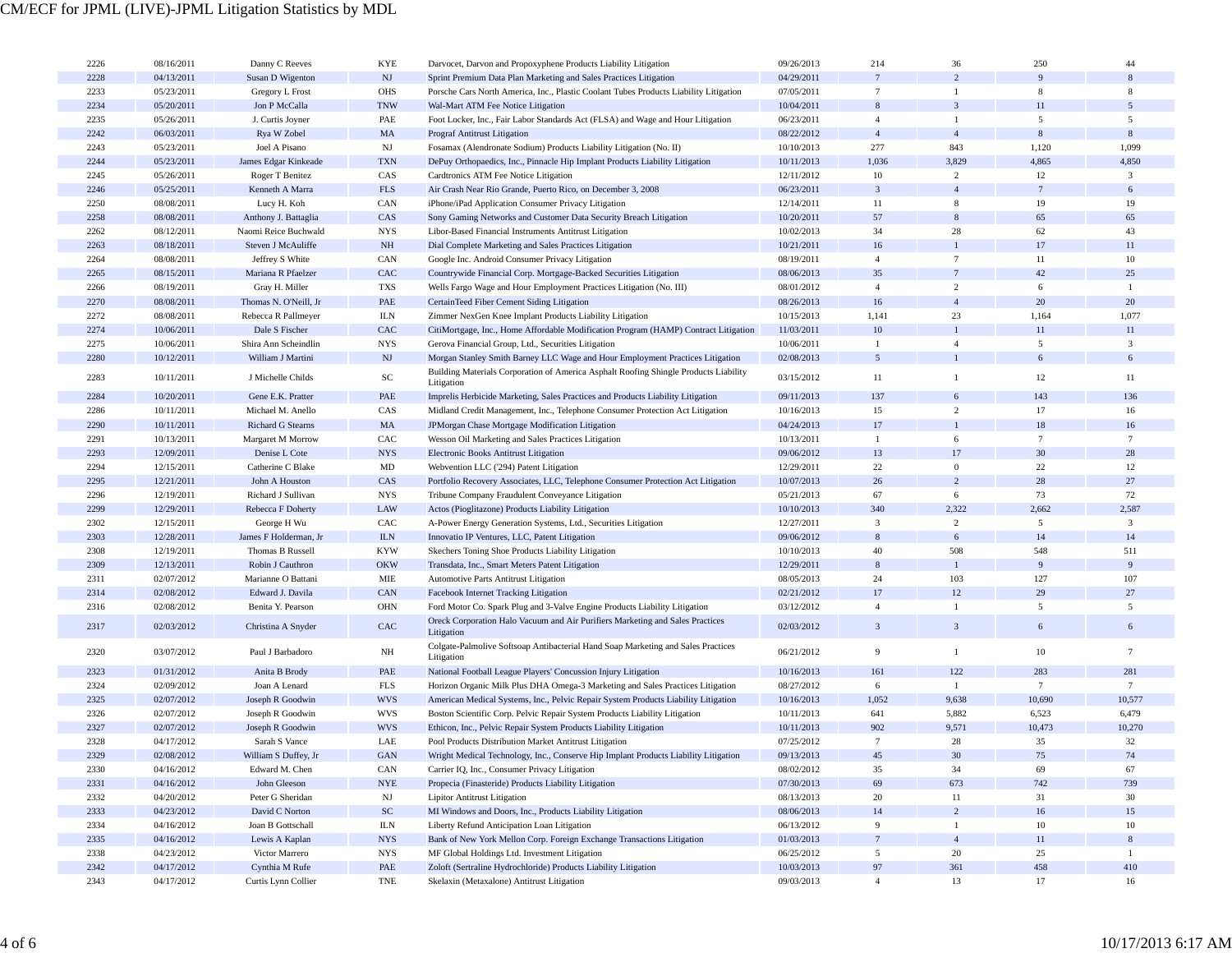| 2226 | 08/16/2011 | Danny C Reeves          | <b>KYE</b>        | Darvocet, Darvon and Propoxyphene Products Liability Litigation                             | 09/26/2013 | 214               | 36               | 250             | 44              |
|------|------------|-------------------------|-------------------|---------------------------------------------------------------------------------------------|------------|-------------------|------------------|-----------------|-----------------|
| 2228 | 04/13/2011 | Susan D Wigenton        | NJ                | Sprint Premium Data Plan Marketing and Sales Practices Litigation                           | 04/29/2011 | $7\phantom{.0}$   | $\overline{2}$   |                 |                 |
| 2233 | 05/23/2011 | Gregory L Frost         | <b>OHS</b>        | Porsche Cars North America, Inc., Plastic Coolant Tubes Products Liability Litigation       | 07/05/2011 | $\tau$            | 1                | 8               | 8               |
| 2234 | 05/20/2011 | Jon P McCalla           | <b>TNW</b>        | Wal-Mart ATM Fee Notice Litigation                                                          | 10/04/2011 | 8                 | 3                | 11              | 5               |
| 2235 | 05/26/2011 | J. Curtis Joyner        | PAE               | Foot Locker, Inc., Fair Labor Standards Act (FLSA) and Wage and Hour Litigation             | 06/23/2011 | $\overline{4}$    | $\mathbf{1}$     | 5               | 5               |
| 2242 | 06/03/2011 | Rya W Zobel             | MA                |                                                                                             | 08/22/2012 | $\overline{4}$    | $\overline{4}$   | 8               | 8               |
|      |            |                         |                   | <b>Prograf Antitrust Litigation</b>                                                         |            |                   |                  |                 |                 |
| 2243 | 05/23/2011 | Joel A Pisano           | NJ                | Fosamax (Alendronate Sodium) Products Liability Litigation (No. II)                         | 10/10/2013 | 277               | 843              | 1,120           | 1,099           |
| 2244 | 05/23/2011 | James Edgar Kinkeade    | <b>TXN</b>        | DePuy Orthopaedics, Inc., Pinnacle Hip Implant Products Liability Litigation                | 10/11/2013 | 1,036             | 3,829            | 4,865           | 4,850           |
| 2245 | 05/26/2011 | Roger T Benitez         | CAS               | Cardtronics ATM Fee Notice Litigation                                                       | 12/11/2012 | 10                | $\overline{c}$   | 12              | $\mathbf{3}$    |
| 2246 | 05/25/2011 | Kenneth A Marra         | <b>FLS</b>        | Air Crash Near Rio Grande, Puerto Rico, on December 3, 2008                                 | 06/23/2011 | 3                 | $\overline{4}$   |                 | 6               |
| 2250 | 08/08/2011 | Lucy H. Koh             | CAN               | iPhone/iPad Application Consumer Privacy Litigation                                         | 12/14/2011 | 11                | 8                | 19              | 19              |
| 2258 | 08/08/2011 | Anthony J. Battaglia    | CAS               | Sony Gaming Networks and Customer Data Security Breach Litigation                           | 10/20/2011 | 57                | 8                | 65              | 65              |
| 2262 | 08/12/2011 | Naomi Reice Buchwald    | <b>NYS</b>        | Libor-Based Financial Instruments Antitrust Litigation                                      | 10/02/2013 | 34                | 28               | 62              | 43              |
| 2263 | 08/18/2011 | Steven J McAuliffe      | NH                | Dial Complete Marketing and Sales Practices Litigation                                      | 10/21/2011 | 16                | $\mathbf{1}$     | 17              | 11              |
| 2264 | 08/08/2011 | Jeffrey S White         | CAN               | Google Inc. Android Consumer Privacy Litigation                                             | 08/19/2011 | $\overline{4}$    | $7\phantom{.0}$  | 11              | $10\,$          |
| 2265 | 08/15/2011 | Mariana R Pfaelzer      | CAC               | Countrywide Financial Corp. Mortgage-Backed Securities Litigation                           | 08/06/2013 | 35                | $7\phantom{.0}$  | 42              | 25              |
| 2266 | 08/19/2011 | Gray H. Miller          | TXS               | Wells Fargo Wage and Hour Employment Practices Litigation (No. III)                         | 08/01/2012 | $\overline{4}$    | $\overline{c}$   | 6               | -1              |
| 2270 | 08/08/2011 | Thomas N. O'Neill, Jr   | PAE               | CertainTeed Fiber Cement Siding Litigation                                                  | 08/26/2013 | 16                | $\overline{4}$   | 20              | 20              |
| 2272 | 08/08/2011 | Rebecca R Pallmeyer     | <b>ILN</b>        | Zimmer NexGen Knee Implant Products Liability Litigation                                    | 10/15/2013 | 1,141             | 23               | 1,164           | 1,077           |
| 2274 | 10/06/2011 | Dale S Fischer          | CAC               | CitiMortgage, Inc., Home Affordable Modification Program (HAMP) Contract Litigation         | 11/03/2011 | 10                | $\mathbf{1}$     | 11              | 11              |
| 2275 | 10/06/2011 | Shira Ann Scheindlin    | <b>NYS</b>        | Gerova Financial Group, Ltd., Securities Litigation                                         | 10/06/2011 | $\mathbf{1}$      | $\overline{4}$   | 5               | $\mathbf{3}$    |
| 2280 | 10/12/2011 | William J Martini       | NJ                | Morgan Stanley Smith Barney LLC Wage and Hour Employment Practices Litigation               | 02/08/2013 | 5                 | $\mathbf{1}$     | 6               | 6               |
|      |            |                         |                   | Building Materials Corporation of America Asphalt Roofing Shingle Products Liability        |            |                   |                  |                 |                 |
| 2283 | 10/11/2011 | J Michelle Childs       | $_{\rm SC}$       | Litigation                                                                                  | 03/15/2012 | 11                | 1                | 12              | 11              |
| 2284 | 10/20/2011 | Gene E.K. Pratter       | PAE               | Imprelis Herbicide Marketing, Sales Practices and Products Liability Litigation             | 09/11/2013 | 137               | 6                | 143             | 136             |
| 2286 | 10/11/2011 | Michael M. Anello       | CAS               | Midland Credit Management, Inc., Telephone Consumer Protection Act Litigation               | 10/16/2013 | 15                | $\overline{c}$   | 17              | 16              |
| 2290 | 10/11/2011 | Richard G Stearns       | MA                | JPMorgan Chase Mortgage Modification Litigation                                             | 04/24/2013 | 17                | $\mathbf{1}$     | 18              | 16              |
| 2291 | 10/13/2011 | Margaret M Morrow       | CAC               | Wesson Oil Marketing and Sales Practices Litigation                                         | 10/13/2011 | -1                | 6                | $7\phantom{.0}$ | $\tau$          |
| 2293 | 12/09/2011 | Denise L Cote           | <b>NYS</b>        |                                                                                             | 09/06/2012 | 13                | 17               | 30              | 28              |
|      |            |                         |                   | <b>Electronic Books Antitrust Litigation</b>                                                |            |                   |                  |                 |                 |
| 2294 | 12/15/2011 | Catherine C Blake       | MD                | Webvention LLC ('294) Patent Litigation                                                     | 12/29/2011 | 22                | $\boldsymbol{0}$ | 22              | 12              |
| 2295 | 12/21/2011 | John A Houston          | CAS               | Portfolio Recovery Associates, LLC, Telephone Consumer Protection Act Litigation            | 10/07/2013 | 26                | 2                | 28              | 27              |
| 2296 | 12/19/2011 | Richard J Sullivan      | <b>NYS</b>        | Tribune Company Fraudulent Conveyance Litigation                                            | 05/21/2013 | 67                | 6                | 73              | 72              |
| 2299 | 12/29/2011 | Rebecca F Doherty       | LAW               | Actos (Pioglitazone) Products Liability Litigation                                          | 10/10/2013 | 340               | 2,322            | 2,662           | 2,587           |
| 2302 | 12/15/2011 | George H Wu             | CAC               | A-Power Energy Generation Systems, Ltd., Securities Litigation                              | 12/27/2011 | $\mathbf{3}$      | $\overline{c}$   | 5               | $\mathbf{3}$    |
| 2303 | 12/28/2011 | James F Holderman, Jr   | <b>ILN</b>        | Innovatio IP Ventures, LLC, Patent Litigation                                               | 09/06/2012 | 8                 | 6                | 14              | 14              |
| 2308 | 12/19/2011 | <b>Thomas B Russell</b> | <b>KYW</b>        | Skechers Toning Shoe Products Liability Litigation                                          | 10/10/2013 | 40                | 508              | 548             | 511             |
| 2309 | 12/13/2011 | Robin J Cauthron        | <b>OKW</b>        | Transdata, Inc., Smart Meters Patent Litigation                                             | 12/29/2011 | $\,$ 8 $\,$       | $\mathbf{1}$     | 9               | 9               |
| 2311 | 02/07/2012 | Marianne O Battani      | MIE               | Automotive Parts Antitrust Litigation                                                       | 08/05/2013 | 24                | 103              | 127             | 107             |
| 2314 | 02/08/2012 | Edward J. Davila        | CAN               | Facebook Internet Tracking Litigation                                                       | 02/21/2012 | 17                | 12               | 29              | 27              |
| 2316 | 02/08/2012 | Benita Y. Pearson       | OHN               | Ford Motor Co. Spark Plug and 3-Valve Engine Products Liability Litigation                  | 03/12/2012 | $\overline{4}$    | $\mathbf{1}$     | 5               | 5               |
| 2317 | 02/03/2012 | Christina A Snyder      | CAC               | Oreck Corporation Halo Vacuum and Air Purifiers Marketing and Sales Practices<br>Litigation | 02/03/2012 | $\mathbf{3}$      | $\mathfrak{Z}$   | 6               | 6               |
| 2320 | 03/07/2012 | Paul J Barbadoro        | NH                | Colgate-Palmolive Softsoap Antibacterial Hand Soap Marketing and Sales Practices            | 06/21/2012 | 9                 | $\mathbf{1}$     | 10              | $7\phantom{.0}$ |
|      |            |                         |                   | Litigation                                                                                  |            |                   | 122              | 283             |                 |
| 2323 | 01/31/2012 | Anita B Brody           | PAE               | National Football League Players' Concussion Injury Litigation                              | 10/16/2013 | 161               |                  |                 | 281             |
| 2324 | 02/09/2012 | Joan A Lenard           | <b>FLS</b>        | Horizon Organic Milk Plus DHA Omega-3 Marketing and Sales Practices Litigation              | 08/27/2012 | 6                 | $\mathbf{1}$     | $7\phantom{.0}$ | $7\phantom{.0}$ |
| 2325 | 02/07/2012 | Joseph R Goodwin        | <b>WVS</b>        | American Medical Systems, Inc., Pelvic Repair System Products Liability Litigation          | 10/16/2013 | 1,052             | 9,638            | 10,690          | 10,577          |
| 2326 | 02/07/2012 | Joseph R Goodwin        | <b>WVS</b>        | Boston Scientific Corp. Pelvic Repair System Products Liability Litigation                  | 10/11/2013 | 641               | 5,882            | 6,523           | 6,479           |
| 2327 | 02/07/2012 | Joseph R Goodwin        | <b>WVS</b>        | Ethicon, Inc., Pelvic Repair System Products Liability Litigation                           | 10/11/2013 | 902               | 9,571            | 10,473          | 10,270          |
| 2328 | 04/17/2012 | Sarah S Vance           | LAE               | Pool Products Distribution Market Antitrust Litigation                                      | 07/25/2012 | $7\phantom{.0}$   | 28               | 35              | 32              |
| 2329 | 02/08/2012 | William S Duffey, Jr    | GAN               | Wright Medical Technology, Inc., Conserve Hip Implant Products Liability Litigation         | 09/13/2013 | 45                | 30               | 75              | 74              |
| 2330 | 04/16/2012 | Edward M. Chen          | CAN               | Carrier IQ, Inc., Consumer Privacy Litigation                                               | 08/02/2012 | 35                | 34               | 69              | 67              |
| 2331 | 04/16/2012 | John Gleeson            | <b>NYE</b>        | Propecia (Finasteride) Products Liability Litigation                                        | 07/30/2013 | 69                | 673              | 742             | 739             |
| 2332 | 04/20/2012 | Peter G Sheridan        | NJ                | <b>Lipitor Antitrust Litigation</b>                                                         | 08/13/2013 | 20                | 11               | 31              | 30              |
| 2333 | 04/23/2012 | David C Norton          | ${\rm SC}$        | MI Windows and Doors, Inc., Products Liability Litigation                                   | 08/06/2013 | 14                | $\overline{c}$   | $16\,$          | 15              |
| 2334 | 04/16/2012 | Joan B Gottschall       | <b>ILN</b>        | Liberty Refund Anticipation Loan Litigation                                                 | 06/13/2012 | 9                 | $\mathbf{1}$     | 10              | 10              |
| 2335 | 04/16/2012 | Lewis A Kaplan          | $_{\mathrm{NYS}}$ | Bank of New York Mellon Corp. Foreign Exchange Transactions Litigation                      | 01/03/2013 | $7\phantom{.0}$   | $\overline{4}$   | 11              | $\,$ 8 $\,$     |
| 2338 | 04/23/2012 | Victor Marrero          | <b>NYS</b>        | MF Global Holdings Ltd. Investment Litigation                                               | 06/25/2012 | $5\overline{ }$   | 20               | 25              | -1              |
| 2342 | 04/17/2012 | Cynthia M Rufe          | PAE               | Zoloft (Sertraline Hydrochloride) Products Liability Litigation                             | 10/03/2013 | $\ensuremath{97}$ | 361              | 458             | 410             |
| 2343 | 04/17/2012 | Curtis Lynn Collier     | TNE               | Skelaxin (Metaxalone) Antitrust Litigation                                                  | 09/03/2013 | $\overline{4}$    | 13               | 17              | 16              |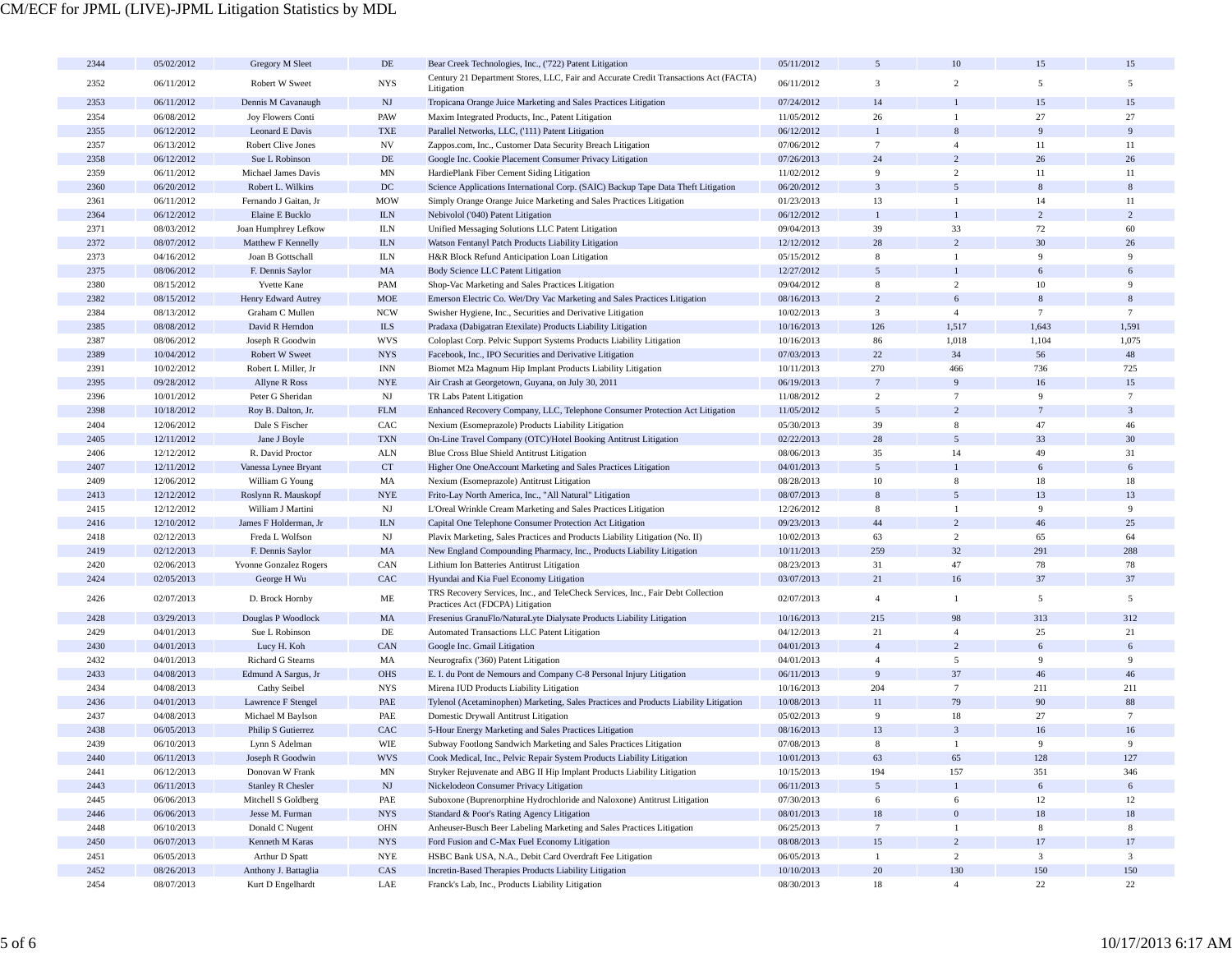| 2344 | 05/02/2012 | Gregory M Sleet                    | DE                        | Bear Creek Technologies, Inc., ('722) Patent Litigation                                                             | 05/11/2012 | 5               | 10                    | 15              | 15              |
|------|------------|------------------------------------|---------------------------|---------------------------------------------------------------------------------------------------------------------|------------|-----------------|-----------------------|-----------------|-----------------|
| 2352 | 06/11/2012 | Robert W Sweet                     | <b>NYS</b>                | Century 21 Department Stores, LLC, Fair and Accurate Credit Transactions Act (FACTA)<br>Litigation                  | 06/11/2012 | 3               | $\overline{2}$        | 5               | 5               |
| 2353 | 06/11/2012 | Dennis M Cavanaugh                 | $\mathbf{N}\mathbf{J}$    | Tropicana Orange Juice Marketing and Sales Practices Litigation                                                     | 07/24/2012 | 14              |                       | 15              | 15              |
| 2354 | 06/08/2012 | Joy Flowers Conti                  | PAW                       | Maxim Integrated Products, Inc., Patent Litigation                                                                  | 11/05/2012 | 26              | 1                     | 27              | 27              |
| 2355 | 06/12/2012 | Leonard E Davis                    | <b>TXE</b>                | Parallel Networks, LLC, ('111) Patent Litigation                                                                    | 06/12/2012 | $\mathbf{1}$    | 8                     | 9               | 9               |
| 2357 | 06/13/2012 | Robert Clive Jones                 | NV                        | Zappos.com, Inc., Customer Data Security Breach Litigation                                                          | 07/06/2012 | $7\phantom{.0}$ | $\overline{4}$        | 11              | 11              |
| 2358 | 06/12/2012 | Sue L Robinson                     | $DE$                      | Google Inc. Cookie Placement Consumer Privacy Litigation                                                            | 07/26/2013 | 24              | $\overline{2}$        | 26              | 26              |
| 2359 | 06/11/2012 | Michael James Davis                | <b>MN</b>                 | HardiePlank Fiber Cement Siding Litigation                                                                          | 11/02/2012 | 9               | $\overline{2}$        | 11              | 11              |
| 2360 | 06/20/2012 | Robert L. Wilkins                  | DC                        | Science Applications International Corp. (SAIC) Backup Tape Data Theft Litigation                                   | 06/20/2012 | $\overline{3}$  | 5                     | 8               | 8               |
| 2361 | 06/11/2012 | Fernando J Gaitan, Jr              | <b>MOW</b>                | Simply Orange Orange Juice Marketing and Sales Practices Litigation                                                 | 01/23/2013 | 13              | 1                     | 14              | 11              |
| 2364 | 06/12/2012 | Elaine E Bucklo                    | ${\rm ILN}$               | Nebivolol ('040) Patent Litigation                                                                                  | 06/12/2012 | $\mathbf{1}$    |                       | $\overline{2}$  | $\overline{2}$  |
| 2371 | 08/03/2012 | Joan Humphrey Lefkow               | <b>ILN</b>                | Unified Messaging Solutions LLC Patent Litigation                                                                   | 09/04/2013 | 39              | 33                    | 72              | 60              |
| 2372 | 08/07/2012 | Matthew F Kennelly                 | ${\rm I\!L N}$            | Watson Fentanyl Patch Products Liability Litigation                                                                 | 12/12/2012 | 28              | $\overline{2}$        | 30              | 26              |
| 2373 | 04/16/2012 | Joan B Gottschall                  | <b>ILN</b>                | H&R Block Refund Anticipation Loan Litigation                                                                       | 05/15/2012 | 8               | $\mathbf{1}$          | 9               | 9               |
| 2375 | 08/06/2012 | F. Dennis Saylor                   | MA                        | Body Science LLC Patent Litigation                                                                                  | 12/27/2012 | 5               |                       | 6               | 6               |
| 2380 | 08/15/2012 | <b>Yvette Kane</b>                 | PAM                       | Shop-Vac Marketing and Sales Practices Litigation                                                                   | 09/04/2012 | 8               | $\overline{2}$        | 10              | 9               |
| 2382 | 08/15/2012 | Henry Edward Autrey                | <b>MOE</b>                | Emerson Electric Co. Wet/Dry Vac Marketing and Sales Practices Litigation                                           | 08/16/2013 | $\overline{c}$  | 6                     | 8               | 8               |
| 2384 | 08/13/2012 | Graham C Mullen                    | <b>NCW</b>                | Swisher Hygiene, Inc., Securities and Derivative Litigation                                                         | 10/02/2013 | $\mathbf{3}$    | $\overline{4}$        | $7\phantom{.0}$ | $7\phantom{.0}$ |
| 2385 | 08/08/2012 | David R Herndon                    | <b>ILS</b>                | Pradaxa (Dabigatran Etexilate) Products Liability Litigation                                                        | 10/16/2013 | 126             | 1,517                 | 1,643           | 1,591           |
| 2387 | 08/06/2012 | Joseph R Goodwin                   | <b>WVS</b>                | Coloplast Corp. Pelvic Support Systems Products Liability Litigation                                                | 10/16/2013 | 86              | 1,018                 | 1,104           | 1,075           |
| 2389 | 10/04/2012 | Robert W Sweet                     | $_{\mathrm{NYS}}$         | Facebook, Inc., IPO Securities and Derivative Litigation                                                            | 07/03/2013 | 22              | 34                    | 56              | 48              |
| 2391 | 10/02/2012 | Robert L Miller, Jr                | $\text{INN}$              | Biomet M2a Magnum Hip Implant Products Liability Litigation                                                         | 10/11/2013 | 270             | 466                   | 736             | 725             |
| 2395 | 09/28/2012 | Allyne R Ross                      | <b>NYE</b>                | Air Crash at Georgetown, Guyana, on July 30, 2011                                                                   | 06/19/2013 | $\overline{7}$  | 9                     | 16              | 15              |
| 2396 | 10/01/2012 | Peter G Sheridan                   | $_{\rm NJ}$               | TR Labs Patent Litigation                                                                                           | 11/08/2012 | $\overline{c}$  | $7\phantom{.0}$       | 9               | $7\phantom{.0}$ |
| 2398 | 10/18/2012 | Roy B. Dalton, Jr.                 | ${\rm FLM}$               | Enhanced Recovery Company, LLC, Telephone Consumer Protection Act Litigation                                        | 11/05/2012 | 5 <sup>5</sup>  | $\overline{2}$        | $\overline{7}$  | $\overline{3}$  |
| 2404 | 12/06/2012 | Dale S Fischer                     | CAC                       | Nexium (Esomeprazole) Products Liability Litigation                                                                 | 05/30/2013 | 39              | 8                     | 47              | 46              |
| 2405 | 12/11/2012 | Jane J Boyle                       | <b>TXN</b>                | On-Line Travel Company (OTC)/Hotel Booking Antitrust Litigation                                                     | 02/22/2013 | 28              | 5                     | 33              | 30              |
| 2406 | 12/12/2012 | R. David Proctor                   | <b>ALN</b>                | Blue Cross Blue Shield Antitrust Litigation                                                                         | 08/06/2013 | 35              | 14                    | 49              | 31              |
| 2407 | 12/11/2012 | Vanessa Lynee Bryant               | CT                        | Higher One OneAccount Marketing and Sales Practices Litigation                                                      | 04/01/2013 | 5 <sup>5</sup>  |                       | 6               | 6               |
| 2409 | 12/06/2012 | William G Young                    | MA                        | Nexium (Esomeprazole) Antitrust Litigation                                                                          | 08/28/2013 | 10              | 8                     | 18              | 18              |
| 2413 | 12/12/2012 | Roslynn R. Mauskopf                | $\ensuremath{\text{NYE}}$ | Frito-Lay North America, Inc., "All Natural" Litigation                                                             | 08/07/2013 | 8               | 5                     | 13              | 13              |
| 2415 | 12/12/2012 | William J Martini                  | $_{\rm NJ}$               | L'Oreal Wrinkle Cream Marketing and Sales Practices Litigation                                                      | 12/26/2012 | 8               | $\mathbf{1}$          | 9               | 9               |
| 2416 | 12/10/2012 | James F Holderman, Jr              | <b>ILN</b>                | Capital One Telephone Consumer Protection Act Litigation                                                            | 09/23/2013 | 44              | $\overline{2}$        | 46              | 25              |
| 2418 | 02/12/2013 | Freda L Wolfson                    | $_{\rm NJ}$               | Plavix Marketing, Sales Practices and Products Liability Litigation (No. II)                                        | 10/02/2013 | 63              | 2                     | 65              | 64              |
| 2419 | 02/12/2013 | F. Dennis Saylor                   | MA                        | New England Compounding Pharmacy, Inc., Products Liability Litigation                                               | 10/11/2013 | 259             | 32                    | 291             | 288             |
| 2420 | 02/06/2013 | Yvonne Gonzalez Rogers             | CAN                       | Lithium Ion Batteries Antitrust Litigation                                                                          | 08/23/2013 | 31              | 47                    | 78              | 78              |
| 2424 | 02/05/2013 | George H Wu                        | CAC                       | Hyundai and Kia Fuel Economy Litigation                                                                             | 03/07/2013 | 21              | 16                    | 37              | 37              |
| 2426 | 02/07/2013 | D. Brock Hornby                    | ME                        | TRS Recovery Services, Inc., and TeleCheck Services, Inc., Fair Debt Collection<br>Practices Act (FDCPA) Litigation | 02/07/2013 | $\overline{4}$  | $\mathbf{1}$          | 5               | 5               |
| 2428 | 03/29/2013 | Douglas P Woodlock                 | MA                        | Fresenius GranuFlo/NaturaLyte Dialysate Products Liability Litigation                                               | 10/16/2013 | 215             | 98                    | 313             | 312             |
| 2429 | 04/01/2013 | Sue L Robinson                     | DE                        | Automated Transactions LLC Patent Litigation                                                                        | 04/12/2013 | 21              | $\overline{4}$        | 25              | 21              |
| 2430 | 04/01/2013 | Lucy H. Koh                        | CAN                       | Google Inc. Gmail Litigation                                                                                        | 04/01/2013 | $\overline{4}$  | $\overline{2}$        | 6               | 6               |
| 2432 | 04/01/2013 | Richard G Stearns                  | MA                        | Neurografix ('360) Patent Litigation                                                                                | 04/01/2013 | $\overline{4}$  | $\overline{5}$        | 9               | 9               |
| 2433 | 04/08/2013 | Edmund A Sargus, Jr                | <b>OHS</b>                | E. I. du Pont de Nemours and Company C-8 Personal Injury Litigation                                                 | 06/11/2013 | 9               | 37                    | 46              | 46              |
| 2434 | 04/08/2013 | Cathy Seibel                       | <b>NYS</b>                | Mirena IUD Products Liability Litigation                                                                            | 10/16/2013 | 204             | $7\phantom{.0}$       | 211             | 211             |
| 2436 | 04/01/2013 | Lawrence F Stengel                 | PAE                       | Tylenol (Acetaminophen) Marketing, Sales Practices and Products Liability Litigation                                | 10/08/2013 | 11              | 79                    | 90              | 88              |
| 2437 | 04/08/2013 | Michael M Baylson                  | PAE                       | Domestic Drywall Antitrust Litigation                                                                               | 05/02/2013 | 9               | 18                    | 27              | $\tau$          |
| 2438 | 06/05/2013 | Philip S Gutierrez                 | CAC                       | 5-Hour Energy Marketing and Sales Practices Litigation                                                              | 08/16/2013 | 13              | 3                     | 16              | 16              |
| 2439 | 06/10/2013 | Lynn S Adelman                     | WIE                       | Subway Footlong Sandwich Marketing and Sales Practices Litigation                                                   | 07/08/2013 | 8               | $\mathbf{1}$          | $\mathbf{Q}$    | 9               |
| 2440 | 06/11/2013 | Joseph R Goodwin                   | <b>WVS</b>                | Cook Medical, Inc., Pelvic Repair System Products Liability Litigation                                              | 10/01/2013 | 63              | 65                    | 128             | 127             |
| 2441 | 06/12/2013 | Donovan W Frank                    | $\ensuremath{\text{MN}}$  | Stryker Rejuvenate and ABG II Hip Implant Products Liability Litigation                                             | 10/15/2013 | 194             |                       | 351             | 346             |
| 2443 | 06/11/2013 | <b>Stanley R Chesler</b>           | $\mathbf{N}\mathbf{J}$    | Nickelodeon Consumer Privacy Litigation                                                                             | 06/11/2013 | 5 <sup>5</sup>  | 157<br>$\mathbf{1}$   | 6               | 6               |
| 2445 | 06/06/2013 |                                    | PAE                       | Suboxone (Buprenorphine Hydrochloride and Naloxone) Antitrust Litigation                                            | 07/30/2013 | 6               | 6                     | 12              | 12              |
|      | 06/06/2013 | Mitchell S Goldberg                |                           | Standard & Poor's Rating Agency Litigation                                                                          | 08/01/2013 | $18\,$          | $\boldsymbol{0}$      | $18\,$          | $18\,$          |
| 2446 | 06/10/2013 | Jesse M. Furman                    | $_{\mathrm{NYS}}$         |                                                                                                                     | 06/25/2013 | $7\phantom{.0}$ | $\mathbf{1}$          | $\,$ 8 $\,$     | 8               |
| 2448 |            | Donald C Nugent<br>Kenneth M Karas | OHN                       | Anheuser-Busch Beer Labeling Marketing and Sales Practices Litigation                                               |            | $15\,$          | $\overline{c}$        | 17              | 17              |
| 2450 | 06/07/2013 |                                    | $_{\mathrm{NYS}}$         | Ford Fusion and C-Max Fuel Economy Litigation                                                                       | 08/08/2013 |                 |                       |                 |                 |
| 2451 | 06/05/2013 | Arthur D Spatt                     | $\ensuremath{\text{NYE}}$ | HSBC Bank USA, N.A., Debit Card Overdraft Fee Litigation                                                            | 06/05/2013 | $\mathbf{1}$    | $\overline{2}$        | $\mathbf{3}$    | $\mathbf{3}$    |
| 2452 | 08/26/2013 | Anthony J. Battaglia               | $\rm CAS$                 | Incretin-Based Therapies Products Liability Litigation                                                              | 10/10/2013 | $20\,$<br>18    | 130<br>$\overline{4}$ | 150             | 150             |
| 2454 | 08/07/2013 | Kurt D Engelhardt                  | LAE                       | Franck's Lab, Inc., Products Liability Litigation                                                                   | 08/30/2013 |                 |                       | 22              | 22              |